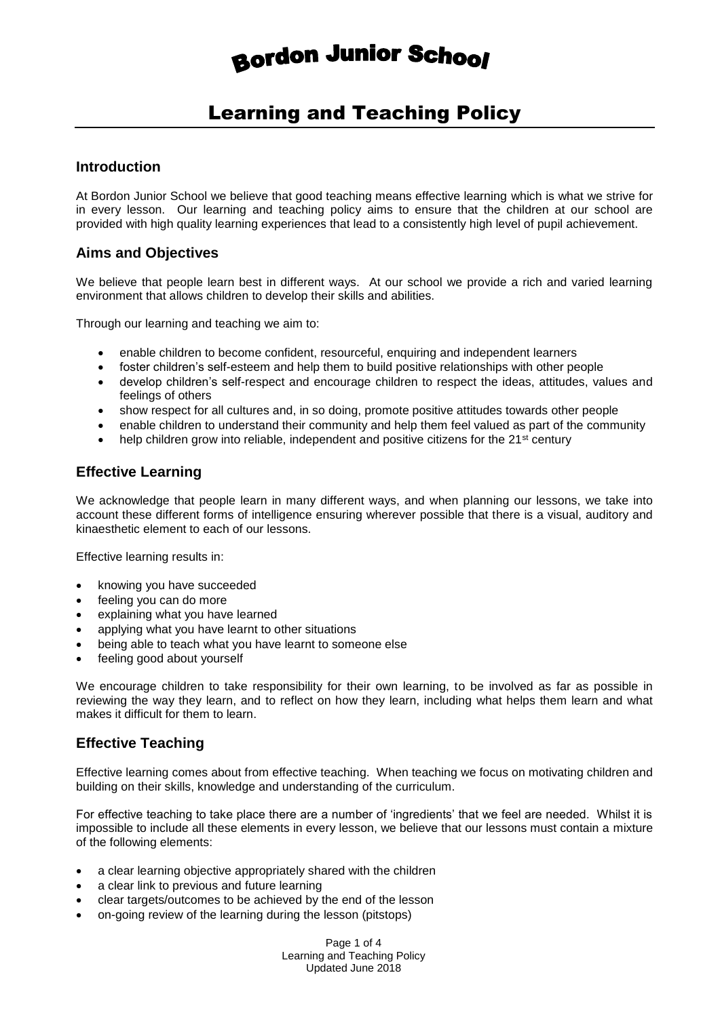# **Bordon Junior School**

# Learning and Teaching Policy

#### **Introduction**

At Bordon Junior School we believe that good teaching means effective learning which is what we strive for in every lesson. Our learning and teaching policy aims to ensure that the children at our school are provided with high quality learning experiences that lead to a consistently high level of pupil achievement.

#### **Aims and Objectives**

We believe that people learn best in different ways. At our school we provide a rich and varied learning environment that allows children to develop their skills and abilities.

Through our learning and teaching we aim to:

- enable children to become confident, resourceful, enquiring and independent learners
- foster children's self-esteem and help them to build positive relationships with other people
- develop children's self-respect and encourage children to respect the ideas, attitudes, values and feelings of others
- show respect for all cultures and, in so doing, promote positive attitudes towards other people
- enable children to understand their community and help them feel valued as part of the community
- help children grow into reliable, independent and positive citizens for the 21<sup>st</sup> century

#### **Effective Learning**

We acknowledge that people learn in many different ways, and when planning our lessons, we take into account these different forms of intelligence ensuring wherever possible that there is a visual, auditory and kinaesthetic element to each of our lessons.

Effective learning results in:

- knowing you have succeeded
- feeling you can do more
- explaining what you have learned
- applying what you have learnt to other situations
- being able to teach what you have learnt to someone else
- feeling good about yourself

We encourage children to take responsibility for their own learning, to be involved as far as possible in reviewing the way they learn, and to reflect on how they learn, including what helps them learn and what makes it difficult for them to learn.

#### **Effective Teaching**

Effective learning comes about from effective teaching. When teaching we focus on motivating children and building on their skills, knowledge and understanding of the curriculum.

For effective teaching to take place there are a number of 'ingredients' that we feel are needed. Whilst it is impossible to include all these elements in every lesson, we believe that our lessons must contain a mixture of the following elements:

- a clear learning objective appropriately shared with the children
- a clear link to previous and future learning
- clear targets/outcomes to be achieved by the end of the lesson
- on-going review of the learning during the lesson (pitstops)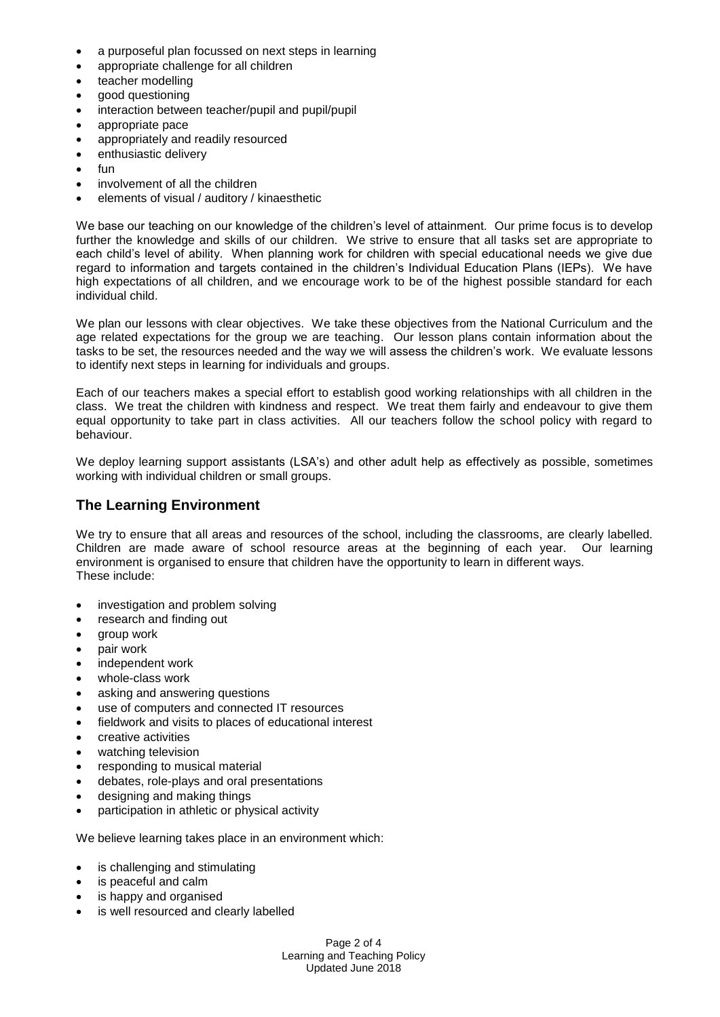- a purposeful plan focussed on next steps in learning
- appropriate challenge for all children
- teacher modelling
- good questioning
- interaction between teacher/pupil and pupil/pupil
- appropriate pace
- appropriately and readily resourced
- enthusiastic delivery
- fun
- involvement of all the children
- elements of visual / auditory / kinaesthetic

We base our teaching on our knowledge of the children's level of attainment. Our prime focus is to develop further the knowledge and skills of our children. We strive to ensure that all tasks set are appropriate to each child's level of ability. When planning work for children with special educational needs we give due regard to information and targets contained in the children's Individual Education Plans (IEPs). We have high expectations of all children, and we encourage work to be of the highest possible standard for each individual child.

We plan our lessons with clear objectives. We take these objectives from the National Curriculum and the age related expectations for the group we are teaching. Our lesson plans contain information about the tasks to be set, the resources needed and the way we will assess the children's work. We evaluate lessons to identify next steps in learning for individuals and groups.

Each of our teachers makes a special effort to establish good working relationships with all children in the class. We treat the children with kindness and respect. We treat them fairly and endeavour to give them equal opportunity to take part in class activities. All our teachers follow the school policy with regard to behaviour.

We deploy learning support assistants (LSA's) and other adult help as effectively as possible, sometimes working with individual children or small groups.

#### **The Learning Environment**

We try to ensure that all areas and resources of the school, including the classrooms, are clearly labelled. Children are made aware of school resource areas at the beginning of each year. Our learning environment is organised to ensure that children have the opportunity to learn in different ways. These include:

- investigation and problem solving
- research and finding out
- aroup work
- pair work
- independent work
- whole-class work
- asking and answering questions
- use of computers and connected IT resources
- fieldwork and visits to places of educational interest
- creative activities
- watching television
- responding to musical material
- debates, role-plays and oral presentations
- designing and making things
- participation in athletic or physical activity

We believe learning takes place in an environment which:

- is challenging and stimulating
- is peaceful and calm
- is happy and organised
- is well resourced and clearly labelled

Page 2 of 4 Learning and Teaching Policy Updated June 2018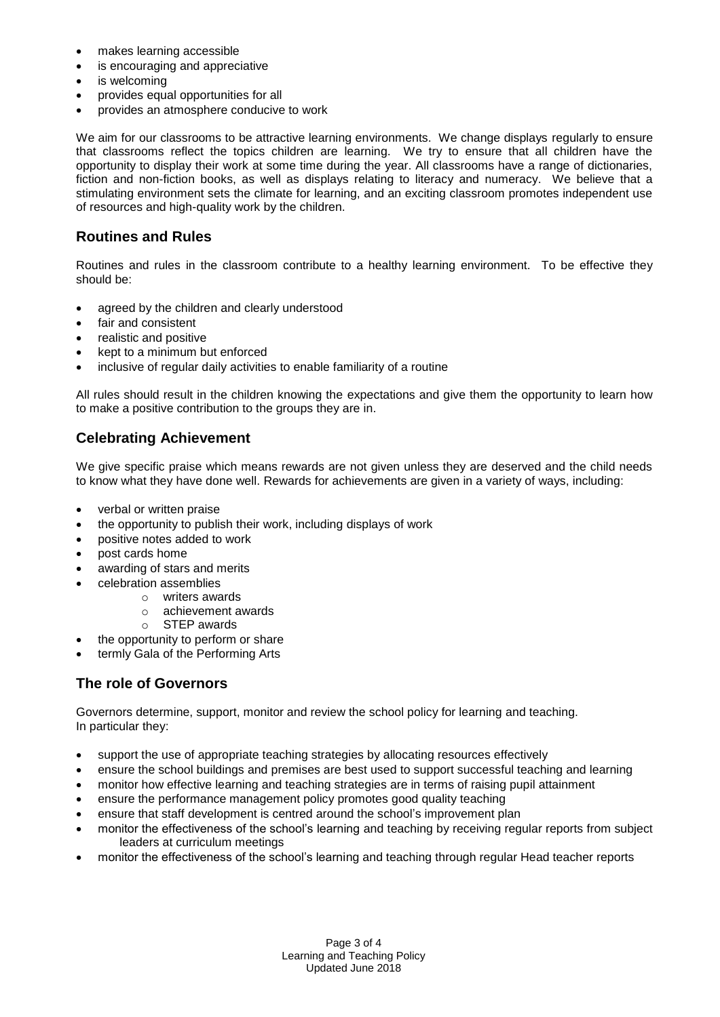- makes learning accessible
- is encouraging and appreciative
- is welcoming
- provides equal opportunities for all
- provides an atmosphere conducive to work

We aim for our classrooms to be attractive learning environments. We change displays regularly to ensure that classrooms reflect the topics children are learning. We try to ensure that all children have the opportunity to display their work at some time during the year. All classrooms have a range of dictionaries, fiction and non-fiction books, as well as displays relating to literacy and numeracy. We believe that a stimulating environment sets the climate for learning, and an exciting classroom promotes independent use of resources and high-quality work by the children.

## **Routines and Rules**

Routines and rules in the classroom contribute to a healthy learning environment. To be effective they should be:

- agreed by the children and clearly understood
- fair and consistent
- realistic and positive
- kept to a minimum but enforced
- inclusive of regular daily activities to enable familiarity of a routine

All rules should result in the children knowing the expectations and give them the opportunity to learn how to make a positive contribution to the groups they are in.

# **Celebrating Achievement**

We give specific praise which means rewards are not given unless they are deserved and the child needs to know what they have done well. Rewards for achievements are given in a variety of ways, including:

- verbal or written praise
- the opportunity to publish their work, including displays of work
- positive notes added to work
- post cards home
- awarding of stars and merits
- celebration assemblies
	- o writers awards
	- o achievement awards
	- o STEP awards
- the opportunity to perform or share
- termly Gala of the Performing Arts

# **The role of Governors**

Governors determine, support, monitor and review the school policy for learning and teaching. In particular they:

- support the use of appropriate teaching strategies by allocating resources effectively
- ensure the school buildings and premises are best used to support successful teaching and learning
- monitor how effective learning and teaching strategies are in terms of raising pupil attainment
- ensure the performance management policy promotes good quality teaching
- ensure that staff development is centred around the school's improvement plan
- monitor the effectiveness of the school's learning and teaching by receiving regular reports from subject leaders at curriculum meetings
- monitor the effectiveness of the school's learning and teaching through regular Head teacher reports